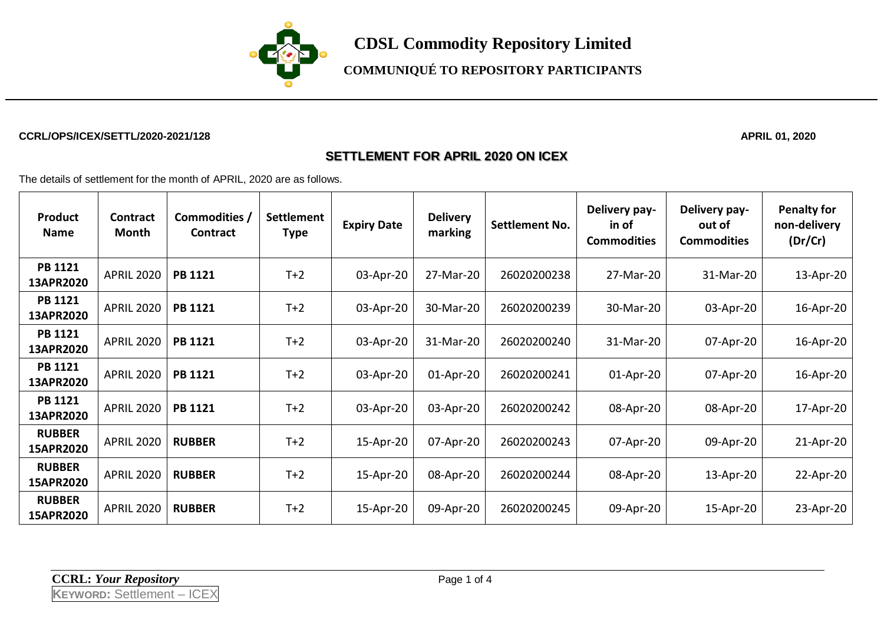

**COMMUNIQUÉ TO REPOSITORY PARTICIPANTS**

#### **CCRL/OPS/ICEX/SETTL/2020-2021/128 APRIL 01, 2020**

#### **SETTLEMENT FOR APRIL 2020 ON ICEX**

The details of settlement for the month of APRIL, 2020 are as follows.

| <b>Product</b><br><b>Name</b> | Contract<br>Month | Commodities /<br>Contract | <b>Settlement</b><br><b>Type</b> | <b>Expiry Date</b> | <b>Delivery</b><br>marking | <b>Settlement No.</b> | Delivery pay-<br>in of<br><b>Commodities</b> | Delivery pay-<br>out of<br><b>Commodities</b> | <b>Penalty for</b><br>non-delivery<br>(Dr/Cr) |
|-------------------------------|-------------------|---------------------------|----------------------------------|--------------------|----------------------------|-----------------------|----------------------------------------------|-----------------------------------------------|-----------------------------------------------|
| <b>PB 1121</b><br>13APR2020   | <b>APRIL 2020</b> | <b>PB 1121</b>            | $T+2$                            | 03-Apr-20          | 27-Mar-20                  | 26020200238           | 27-Mar-20                                    | 31-Mar-20                                     | 13-Apr-20                                     |
| <b>PB 1121</b><br>13APR2020   | <b>APRIL 2020</b> | <b>PB 1121</b>            | $T+2$                            | 03-Apr-20          | 30-Mar-20                  | 26020200239           | 30-Mar-20                                    | 03-Apr-20                                     | 16-Apr-20                                     |
| <b>PB 1121</b><br>13APR2020   | <b>APRIL 2020</b> | <b>PB 1121</b>            | $T+2$                            | 03-Apr-20          | 31-Mar-20                  | 26020200240           | 31-Mar-20                                    | 07-Apr-20                                     | 16-Apr-20                                     |
| <b>PB 1121</b><br>13APR2020   | <b>APRIL 2020</b> | <b>PB 1121</b>            | $T+2$                            | 03-Apr-20          | 01-Apr-20                  | 26020200241           | $01$ -Apr-20                                 | 07-Apr-20                                     | 16-Apr-20                                     |
| <b>PB 1121</b><br>13APR2020   | <b>APRIL 2020</b> | <b>PB 1121</b>            | $T+2$                            | 03-Apr-20          | 03-Apr-20                  | 26020200242           | 08-Apr-20                                    | 08-Apr-20                                     | 17-Apr-20                                     |
| <b>RUBBER</b><br>15APR2020    | <b>APRIL 2020</b> | <b>RUBBER</b>             | $T+2$                            | 15-Apr-20          | 07-Apr-20                  | 26020200243           | 07-Apr-20                                    | 09-Apr-20                                     | 21-Apr-20                                     |
| <b>RUBBER</b><br>15APR2020    | <b>APRIL 2020</b> | <b>RUBBER</b>             | $T+2$                            | 15-Apr-20          | 08-Apr-20                  | 26020200244           | 08-Apr-20                                    | 13-Apr-20                                     | 22-Apr-20                                     |
| <b>RUBBER</b><br>15APR2020    | <b>APRIL 2020</b> | <b>RUBBER</b>             | $T+2$                            | 15-Apr-20          | 09-Apr-20                  | 26020200245           | 09-Apr-20                                    | 15-Apr-20                                     | 23-Apr-20                                     |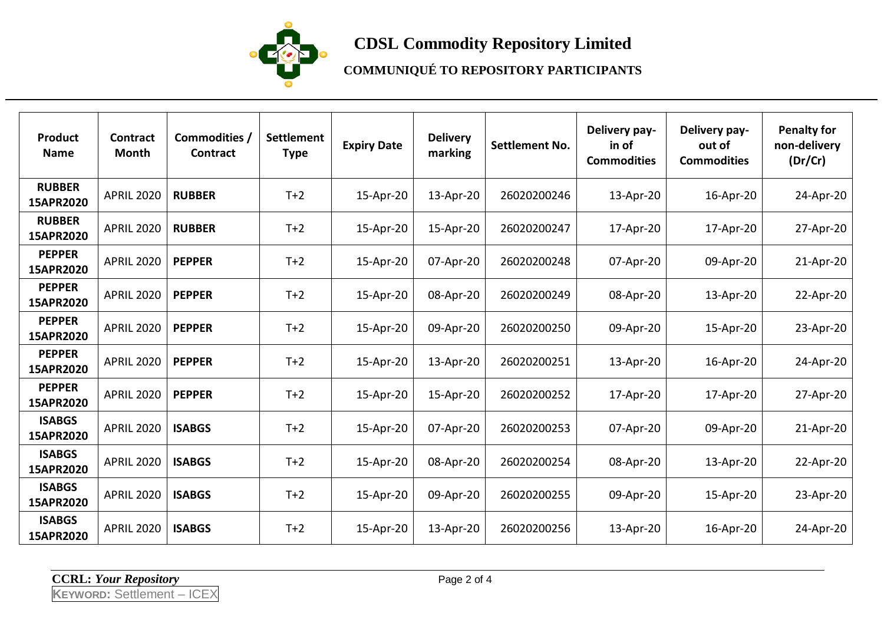

# **CDSL Commodity Repository Limited**

## **COMMUNIQUÉ TO REPOSITORY PARTICIPANTS**

| Product<br><b>Name</b>     | <b>Contract</b><br>Month | Commodities /<br><b>Contract</b> | Settlement<br><b>Type</b> | <b>Expiry Date</b> | <b>Delivery</b><br>marking | <b>Settlement No.</b> | Delivery pay-<br>in of<br><b>Commodities</b> | Delivery pay-<br>out of<br><b>Commodities</b> | <b>Penalty for</b><br>non-delivery<br>(Dr/Cr) |
|----------------------------|--------------------------|----------------------------------|---------------------------|--------------------|----------------------------|-----------------------|----------------------------------------------|-----------------------------------------------|-----------------------------------------------|
| <b>RUBBER</b><br>15APR2020 | <b>APRIL 2020</b>        | <b>RUBBER</b>                    | $T+2$                     | 15-Apr-20          | 13-Apr-20                  | 26020200246           | 13-Apr-20                                    | 16-Apr-20                                     | 24-Apr-20                                     |
| <b>RUBBER</b><br>15APR2020 | <b>APRIL 2020</b>        | <b>RUBBER</b>                    | $T+2$                     | 15-Apr-20          | 15-Apr-20                  | 26020200247           | 17-Apr-20                                    | 17-Apr-20                                     | 27-Apr-20                                     |
| <b>PEPPER</b><br>15APR2020 | <b>APRIL 2020</b>        | <b>PEPPER</b>                    | $T+2$                     | 15-Apr-20          | 07-Apr-20                  | 26020200248           | 07-Apr-20                                    | 09-Apr-20                                     | 21-Apr-20                                     |
| <b>PEPPER</b><br>15APR2020 | <b>APRIL 2020</b>        | <b>PEPPER</b>                    | $T+2$                     | 15-Apr-20          | 08-Apr-20                  | 26020200249           | 08-Apr-20                                    | 13-Apr-20                                     | 22-Apr-20                                     |
| <b>PEPPER</b><br>15APR2020 | <b>APRIL 2020</b>        | <b>PEPPER</b>                    | $T+2$                     | 15-Apr-20          | 09-Apr-20                  | 26020200250           | 09-Apr-20                                    | 15-Apr-20                                     | 23-Apr-20                                     |
| <b>PEPPER</b><br>15APR2020 | <b>APRIL 2020</b>        | <b>PEPPER</b>                    | $T+2$                     | 15-Apr-20          | 13-Apr-20                  | 26020200251           | 13-Apr-20                                    | 16-Apr-20                                     | 24-Apr-20                                     |
| <b>PEPPER</b><br>15APR2020 | <b>APRIL 2020</b>        | <b>PEPPER</b>                    | $T+2$                     | 15-Apr-20          | 15-Apr-20                  | 26020200252           | 17-Apr-20                                    | 17-Apr-20                                     | 27-Apr-20                                     |
| <b>ISABGS</b><br>15APR2020 | <b>APRIL 2020</b>        | <b>ISABGS</b>                    | $T+2$                     | 15-Apr-20          | 07-Apr-20                  | 26020200253           | 07-Apr-20                                    | 09-Apr-20                                     | 21-Apr-20                                     |
| <b>ISABGS</b><br>15APR2020 | <b>APRIL 2020</b>        | <b>ISABGS</b>                    | $T+2$                     | 15-Apr-20          | 08-Apr-20                  | 26020200254           | 08-Apr-20                                    | 13-Apr-20                                     | 22-Apr-20                                     |
| <b>ISABGS</b><br>15APR2020 | <b>APRIL 2020</b>        | <b>ISABGS</b>                    | $T+2$                     | 15-Apr-20          | 09-Apr-20                  | 26020200255           | 09-Apr-20                                    | 15-Apr-20                                     | 23-Apr-20                                     |
| <b>ISABGS</b><br>15APR2020 | <b>APRIL 2020</b>        | <b>ISABGS</b>                    | $T+2$                     | 15-Apr-20          | 13-Apr-20                  | 26020200256           | 13-Apr-20                                    | 16-Apr-20                                     | 24-Apr-20                                     |

**CCRL:** *Your Repository* Page 2 of 4

**KEYWORD:** Settlement – ICEX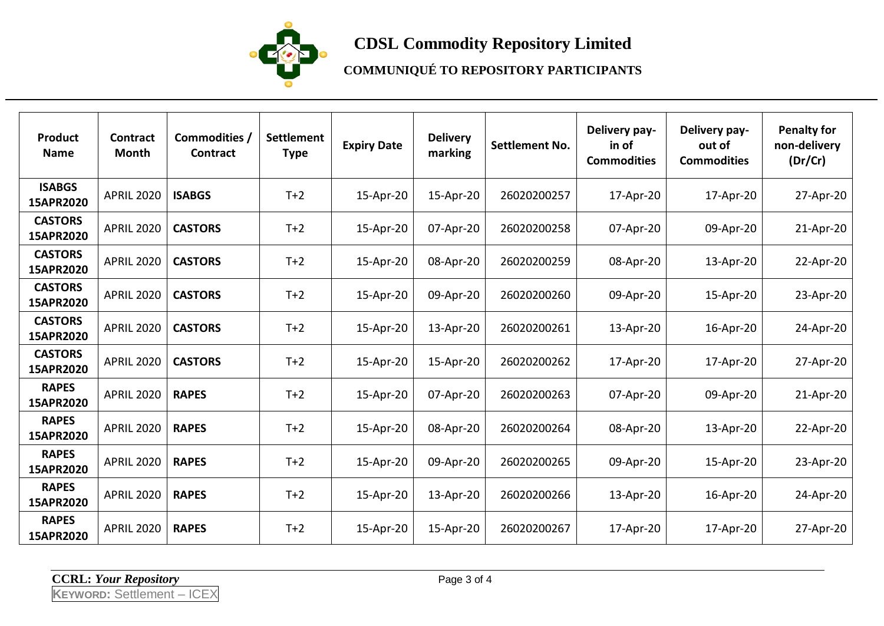

# **CDSL Commodity Repository Limited**

## **COMMUNIQUÉ TO REPOSITORY PARTICIPANTS**

| <b>Product</b><br><b>Name</b> | <b>Contract</b><br>Month | Commodities /<br><b>Contract</b> | Settlement<br><b>Type</b> | <b>Expiry Date</b> | <b>Delivery</b><br>marking | <b>Settlement No.</b> | Delivery pay-<br>in of<br><b>Commodities</b> | Delivery pay-<br>out of<br><b>Commodities</b> | <b>Penalty for</b><br>non-delivery<br>(Dr/Cr) |
|-------------------------------|--------------------------|----------------------------------|---------------------------|--------------------|----------------------------|-----------------------|----------------------------------------------|-----------------------------------------------|-----------------------------------------------|
| <b>ISABGS</b><br>15APR2020    | <b>APRIL 2020</b>        | <b>ISABGS</b>                    | $T+2$                     | 15-Apr-20          | 15-Apr-20                  | 26020200257           | 17-Apr-20                                    | 17-Apr-20                                     | 27-Apr-20                                     |
| <b>CASTORS</b><br>15APR2020   | <b>APRIL 2020</b>        | <b>CASTORS</b>                   | $T+2$                     | 15-Apr-20          | 07-Apr-20                  | 26020200258           | 07-Apr-20                                    | 09-Apr-20                                     | 21-Apr-20                                     |
| <b>CASTORS</b><br>15APR2020   | <b>APRIL 2020</b>        | <b>CASTORS</b>                   | $T+2$                     | 15-Apr-20          | 08-Apr-20                  | 26020200259           | 08-Apr-20                                    | 13-Apr-20                                     | 22-Apr-20                                     |
| <b>CASTORS</b><br>15APR2020   | <b>APRIL 2020</b>        | <b>CASTORS</b>                   | $T+2$                     | 15-Apr-20          | 09-Apr-20                  | 26020200260           | 09-Apr-20                                    | 15-Apr-20                                     | 23-Apr-20                                     |
| <b>CASTORS</b><br>15APR2020   | <b>APRIL 2020</b>        | <b>CASTORS</b>                   | $T+2$                     | 15-Apr-20          | 13-Apr-20                  | 26020200261           | 13-Apr-20                                    | 16-Apr-20                                     | 24-Apr-20                                     |
| <b>CASTORS</b><br>15APR2020   | <b>APRIL 2020</b>        | <b>CASTORS</b>                   | $T+2$                     | 15-Apr-20          | 15-Apr-20                  | 26020200262           | 17-Apr-20                                    | 17-Apr-20                                     | 27-Apr-20                                     |
| <b>RAPES</b><br>15APR2020     | <b>APRIL 2020</b>        | <b>RAPES</b>                     | $T+2$                     | 15-Apr-20          | 07-Apr-20                  | 26020200263           | 07-Apr-20                                    | 09-Apr-20                                     | 21-Apr-20                                     |
| <b>RAPES</b><br>15APR2020     | <b>APRIL 2020</b>        | <b>RAPES</b>                     | $T+2$                     | 15-Apr-20          | 08-Apr-20                  | 26020200264           | 08-Apr-20                                    | 13-Apr-20                                     | 22-Apr-20                                     |
| <b>RAPES</b><br>15APR2020     | <b>APRIL 2020</b>        | <b>RAPES</b>                     | $T+2$                     | 15-Apr-20          | 09-Apr-20                  | 26020200265           | 09-Apr-20                                    | 15-Apr-20                                     | 23-Apr-20                                     |
| <b>RAPES</b><br>15APR2020     | <b>APRIL 2020</b>        | <b>RAPES</b>                     | $T+2$                     | 15-Apr-20          | 13-Apr-20                  | 26020200266           | 13-Apr-20                                    | 16-Apr-20                                     | 24-Apr-20                                     |
| <b>RAPES</b><br>15APR2020     | <b>APRIL 2020</b>        | <b>RAPES</b>                     | $T+2$                     | 15-Apr-20          | 15-Apr-20                  | 26020200267           | 17-Apr-20                                    | 17-Apr-20                                     | 27-Apr-20                                     |

**CCRL:** *Your Repository* Page 3 of 4

**KEYWORD:** Settlement – ICEX